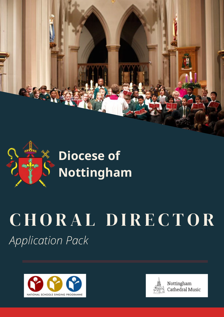



**Diocese of Nottingham**

# CHORAL DIRECTOR *Application Pack*





Nottingham Cathedral Music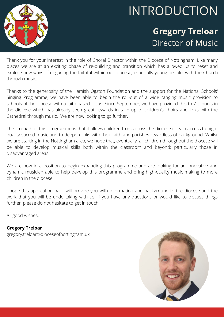

### INTRODUCTION

### **Gregory Treloar** Director of Music

Thank you for your interest in the role of Choral Director within the Diocese of Nottingham. Like many places we are at an exciting phase of re-building and transition which has allowed us to reset and explore new ways of engaging the faithful within our diocese, especially young people, with the Church through music.

Thanks to the generosity of the Hamish Ogston Foundation and the support for the National Schools' Singing Programme, we have been able to begin the roll-out of a wide ranging music provision to schools of the diocese with a faith based-focus. Since September, we have provided this to 7 schools in the diocese which has already seen great rewards in take up of children's choirs and links with the Cathedral through music. We are now looking to go further.

The strength of this programme is that it allows children from across the diocese to gain access to highquality sacred music and to deepen links with their faith and parishes regardless of background. Whilst we are starting in the Nottingham area, we hope that, eventually, all children throughout the diocese will be able to develop musical skills both within the classroom and beyond; particularly those in disadvantaged areas.

We are now in a position to begin expanding this programme and are looking for an innovative and dynamic musician able to help develop this programme and bring high-quality music making to more children in the diocese.

I hope this application pack will provide you with information and background to the diocese and the work that you will be undertaking with us. If you have any questions or would like to discuss things further, please do not hesitate to get in touch.

All good wishes,

**Gregory Treloar** gregory.treloar@dioceseofnottingham.uk

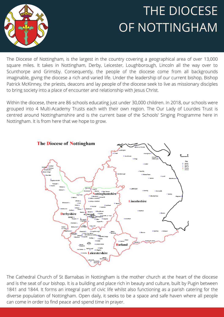### THE DIOCESE OF NOTTINGHAM



The Diocese of Nottingham, is the largest in the country covering a geographical area of over 13,000 square miles. It takes in Nottingham, Derby, Leicester, Loughborough, Lincoln all the way over to Scunthorpe and Grimsby. Consequently, the people of the diocese come from all backgrounds imaginable, giving the diocese a rich and varied life. Under the leadership of our current bishop, Bishop Patrick McKinney, the priests, deacons and lay people of the diocese seek to live as missionary disciples to bring society into a place of encounter and relationship with Jesus Christ.

Within the diocese, there are 86 schools educating just under 30,000 children. In 2018, our schools were grouped into 4 Multi-Academy Trusts each with their own region. The Our Lady of Lourdes Trust is centred around Nottinghamshire and is the current base of the Schools' Singing Programme here in Nottingham. It is from here that we hope to grow.



The Cathedral Church of St Barnabas in Nottingham is the mother church at the heart of the diocese and is the seat of our bishop. It is a building and place rich in beauty and culture, built by Pugin between 1841 and 1844. It forms an integral part of civic life whilst also functioning as a parish catering for the diverse population of Nottingham. Open daily, it seeks to be a space and safe haven where all people can come in order to find peace and spend time in prayer.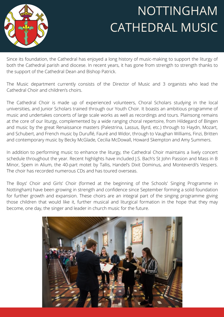

### NOTTINGHAM CATHEDRAL MUSIC

Since its foundation, the Cathedral has enjoyed a long history of music-making to support the liturgy of both the Cathedral parish and diocese. In recent years, it has gone from strength to strength thanks to the support of the Cathedral Dean and Bishop Patrick.

The Music department currently consists of the Director of Music and 3 organists who lead the Cathedral Choir and children's choirs.

The Cathedral Choir is made up of experienced volunteers, Choral Scholars studying in the local universities, and Junior Scholars trained through our Youth Choir. It boasts an ambitious programme of music and undertakes concerts of large scale works as well as recordings and tours. Plainsong remains at the core of our liturgy, complemented by a wide ranging choral repertoire, from Hildegard of Bingen and music by the great Renaissance masters (Palestrina, Lassus, Byrd, etc.) through to Haydn, Mozart, and Schubert, and French music by Duruflé, Fauré and Widor, through to Vaughan Williams, Finzi, Britten and contemporary music by Becky McGlade, Cecilia McDowall, Howard Skempton and Amy Summers.

In addition to performing music to enhance the liturgy, the Cathedral Choir maintains a lively concert schedule throughout the year. Recent highlights have included J.S. Bach's St John Passion and Mass in B Minor, Spem in Alium, the 40-part motet by Tallis, Handel's Dixit Dominus, and Monteverdi's Vespers. The choir has recorded numerous CDs and has toured overseas.

The Boys' Choir and Girls' Choir (formed at the beginning of the Schools' Singing Programme in Nottingham) have been growing in strength and confidence since September forming a solid foundation for further growth and expansion. These choirs are an integral part of the singing programme giving those children that would like it, further musical and liturgical formation in the hope that they may become, one day, the singer and leader in church music for the future.

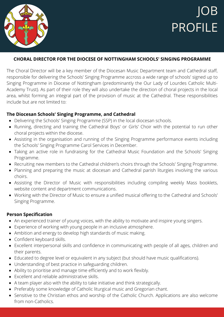

#### **CHORAL DIRECTOR FOR THE DIOCESE OF NOTTINGHAM SCHOOLS' SINGING PROGRAMME**

The Choral Director will be a key member of the Diocesan Music Department team and Cathedral staff, responsible for delivering the Schools' Singing Programme accross a wide range of schools' signed up to Singing Programme in Diocese of Nottingham (predominantly the Our Lady of Lourdes Catholic Multi-Academy Trust). As part of their role they will also undertake the direction of choral projects in the local area, whilst forming an integral part of the provision of music at the Cathedral. These responsibilities include but are not limited to:

#### **The Diocesan Schools' Singing Programme, and Cathedral**

- Delivering the Schools' Singing Programme (SSP) in the local diocesan schools.
- Running, directing and training the Cathedral Boys' or Girls' Choir with the potential to run other choral projects within the diocese.
- Assisting in the organisation and running of the Singing Programme performance events including the Schools' Singing Programme Carol Services in December.
- Taking an active role in fundraising for the Cathedral Music Foundation and the Schools' Singing Programme.
- Recruiting new members to the Cathedral children's choirs through the Schools' Singing Programme.
- Planning and preparing the music at diocesan and Cathedral parish liturgies involving the various choirs.
- Assisting the Director of Music with responsibilities including compiling weekly Mass booklets, website content and department communications.
- Working with the Director of Music to ensure a unified musical offering to the Cathedral and Schools' Singing Programme.

#### **Person Specification**

- An experienced trainer of young voices, with the ability to motivate and inspire young singers.
- Experience of working with young people in an inclusive atmosphere.
- Ambition and energy to develop high standards of music making.
- Confident keyboard skills.
- Excellent interpersonal skills and confidence in communicating with people of all ages, children and their parents.
- Educated to degree level or equivalent in any subject (but should have music qualifications).
- Understanding of best practice in safeguarding children.
- Ability to prioritise and manage time efficiently and to work flexibly.
- Excellent and reliable administrative skills.
- A team player also with the ability to take initiative and think strategically.
- Preferably some knowledge of Catholic liturgical music and Gregorian chant.
- Sensitive to the Christian ethos and worship of the Catholic Church. Applications are also welcome from non-Catholics.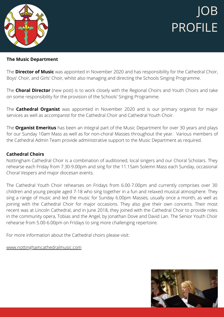

#### **The Music Department**

The **Director of Music** was appointed in November 2020 and has responsibility for the Cathedral Choir, Boys' Choir, and Girls' Choir, whilst also managing and directing the Schools Singing Programme.

The **Choral Director** (new post) is to work closely with the Regional Choirs and Youth Choirs and take on some responsibility for the provision of the Schools' Singing Programme.

The **Cathedral Organist** was appointed in November 2020 and is our primary organist for major services as well as accompanist for the Cathedral Choir and Cathedral Youth Choir.

The **Organist Emeritus** has been an integral part of the Music Department for over 30 years and plays for our Sunday 10am Mass as well as for non-choral Masses throughout the year. Various members of the Cathedral Admin Team provide administrative support to the Music Department as required.

#### **Cathedral Choirs**

Nottingham Cathedral Choir is a combination of auditioned, local singers and our Choral Scholars. They rehearse each Friday from 7.30-9.00pm and sing for the 11.15am Solemn Mass each Sunday, occasional Choral Vespers and major diocesan events.

The Cathedral Youth Choir rehearses on Fridays from 6.00-7.00pm and currently comprises over 30 children and young people aged 7-18 who sing together in a fun and relaxed musical atmosphere. They sing a range of music and led the music for Sunday 6.00pm Masses, usually once a month, as well as joining with the Cathedral Choir for major occasions. They also give their own concerts. Their most recent was at Lincoln Cathedral, and in June 2018, they joined with the Cathedral Choir to provide roles in the community opera, Tobias and the Angel, by Jonathan Dove and David Lan. The Senior Youth Choir rehearse from 5.00-6.00pm on Fridays to sing more challenging repertoire.

For more information about the Cathedral choirs please visit:

[www.nottinghamcathedralmusic.com](http://www.nottinghamcathedralmusic.com/)

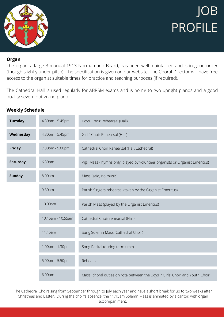

#### **Organ**

The organ, a large 3-manual 1913 Norman and Beard, has been well maintained and is in good order (though slightly under pitch). The specification is given on our website. The Choral Director will have free access to the organ at suitable times for practice and teaching purposes (if required).

The Cathedral Hall is used regularly for ABRSM exams and is home to two upright pianos and a good quality seven-foot grand piano.

| <b>Tuesday</b> | 4.30pm - 5.45pm   | Boys' Choir Rehearsal (Hall)                                                 |  |
|----------------|-------------------|------------------------------------------------------------------------------|--|
| Wednesday      | 4.30pm - 5.45pm   | Girls' Choir Rehearsal (Hall)                                                |  |
| <b>Friday</b>  | 7.30pm - 9.00pm   | Cathedral Choir Rehearsal (Hall/Cathedral)                                   |  |
| Saturday       | 6.30pm            | Vigil Mass - hymns only, played by volunteer organists or Organist Emeritus) |  |
| <b>Sunday</b>  | 8.00am            | Mass (said, no music)                                                        |  |
|                | 9.30am            | Parish Singers rehearsal (taken by the Organist Emeritus)                    |  |
|                | 10.00am           | Parish Mass (played by the Organist Emeritus)                                |  |
|                | 10.15am - 10.55am | Cathedral Choir rehearsal (Hall)                                             |  |
|                | 11.15am           | Sung Solemn Mass (Cathedral Choir)                                           |  |
|                | 1.00pm - 1.30pm   | Song Recital (during term time)                                              |  |
|                | 5.00pm - 5.50pm   | Rehearsal                                                                    |  |
|                | 6.00pm            | Mass (choral duties on rota between the Boys' / Girls' Choir and Youth Choir |  |

**Weekly Schedule**

The Cathedral Choirs sing from September through to July each year and have a short break for up to two weeks after Christmas and Easter. During the choir's absence, the 11.15am Solemn Mass is animated by a cantor, with organ accompaniment.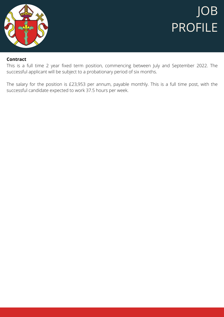

#### **Contract**

This is a full time 2 year fixed term position, commencing between July and September 2022. The successful applicant will be subject to a probationary period of six months.

The salary for the position is £23,953 per annum, payable monthly. This is a full time post, with the successful candidate expected to work 37.5 hours per week.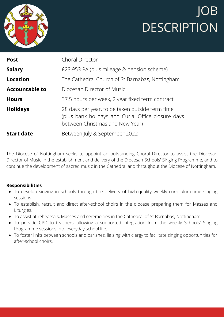



| <b>Post</b>           | Choral Director                                                                                                                          |  |
|-----------------------|------------------------------------------------------------------------------------------------------------------------------------------|--|
| <b>Salary</b>         | £23,953 PA (plus mileage & pension scheme)                                                                                               |  |
| <b>Location</b>       | The Cathedral Church of St Barnabas, Nottingham                                                                                          |  |
| <b>Accountable to</b> | Diocesan Director of Music                                                                                                               |  |
| <b>Hours</b>          | 37.5 hours per week, 2 year fixed term contract                                                                                          |  |
| <b>Holidays</b>       | 28 days per year, to be taken outside term time<br>(plus bank holidays and Curial Office closure days<br>between Christmas and New Year) |  |
| <b>Start date</b>     | Between July & September 2022                                                                                                            |  |

The Diocese of Nottingham seeks to appoint an outstanding Choral Director to assist the Diocesan Director of Music in the establishment and delivery of the Diocesan Schools' Singing Programme, and to continue the development of sacred music in the Cathedral and throughout the Diocese of Nottingham.

#### **Responsibilities**

- To develop singing in schools through the delivery of high-quality weekly curriculum-time singing sessions.
- To establish, recruit and direct after-school choirs in the diocese preparing them for Masses and Liturgies.
- To assist at rehearsals, Masses and ceremonies in the Cathedral of St Barnabas, Nottingham.
- To provide CPD to teachers, allowing a supported integration from the weekly Schools' Singing Programme sessions into everyday school life.
- To foster links between schools and parishes, liaising with clergy to facilitate singing opportunities for after-school choirs.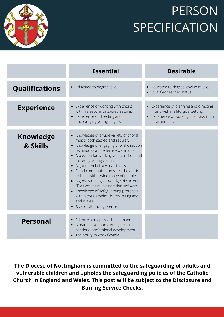

### **PERSON SPECIFICATION**

|                              | <b>Essential</b>                                                                                                                                                                                                                                                                                                                                                                                                                                                                                                                                                                    | <b>Desirable</b>                                                                                                                     |
|------------------------------|-------------------------------------------------------------------------------------------------------------------------------------------------------------------------------------------------------------------------------------------------------------------------------------------------------------------------------------------------------------------------------------------------------------------------------------------------------------------------------------------------------------------------------------------------------------------------------------|--------------------------------------------------------------------------------------------------------------------------------------|
| <b>Qualifications</b>        | • Educated to degree level.                                                                                                                                                                                                                                                                                                                                                                                                                                                                                                                                                         | • Educated to degree level in music.<br>Qualified teacher status.                                                                    |
| <b>Experience</b>            | • Experience of working with choirs<br>within a secular or sacred setting.<br>Experience of directing and<br>$\bullet$<br>encouraging young singers.                                                                                                                                                                                                                                                                                                                                                                                                                                | • Experience of planning and directing<br>music within a liturgical setting.<br>Experience of working in a classroom<br>environment. |
| <b>Knowledge</b><br>& Skills | • Knowledge of a wide variety of choral<br>music, both sacred and secular.<br>Knowledge of engaging choral direction<br>techniques and effective warm ups.<br>• A passion for working with children and<br>fostering young voices.<br>• A good level of keyboard skills.<br>• Good communication skills, the ability<br>to liaise with a wide range of people.<br>• A good working knowledge of current<br>IT, as well as music notation software.<br>• Knowledge of safeguarding protocols<br>within the Catholic Church in England<br>and Wales.<br>• A valid UK driving licence. |                                                                                                                                      |
| <b>Personal</b>              | Friendly and approachable manner.<br>$\bullet$<br>• A team player and a willingness to<br>continue professional development.<br>• The ability to work flexibly.                                                                                                                                                                                                                                                                                                                                                                                                                     |                                                                                                                                      |

**The Diocese of Nottingham is committed to the safeguarding of adults and vulnerable children and upholds the safeguarding policies of the Catholic Church in England and Wales. This post will be subject to the Disclosure and Barring Service Checks.**